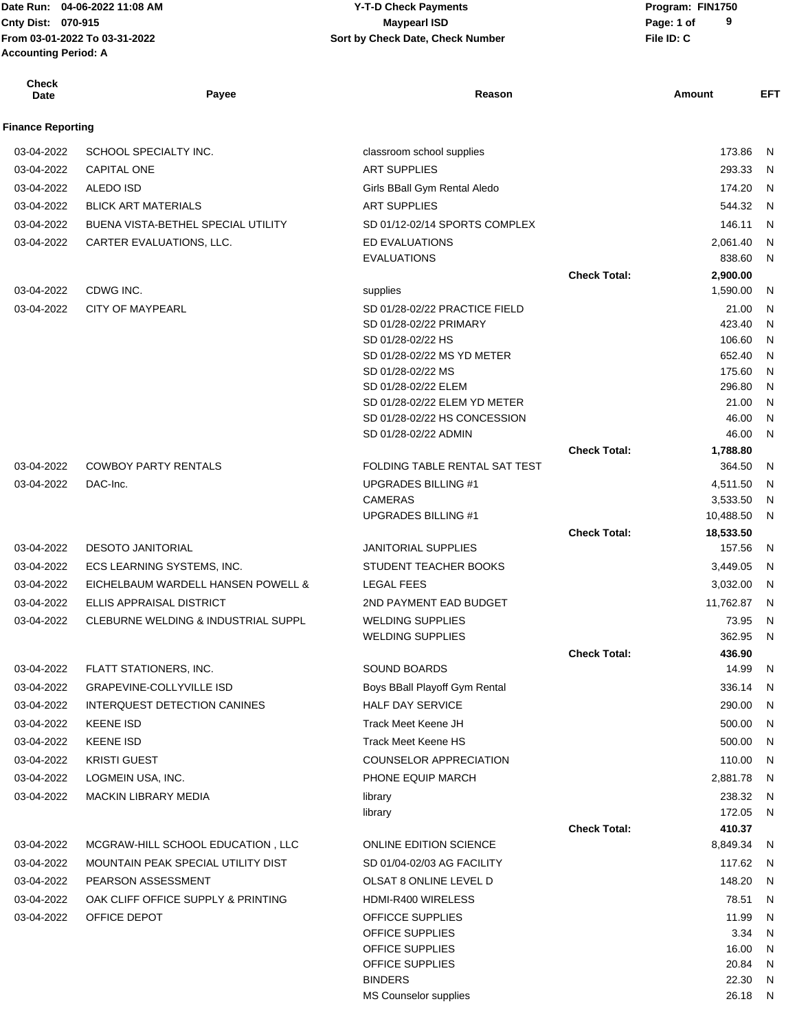# **Cnty Dist:** 070-915 **Page: 1 of Page: 1 of MaypearI ISD 04-06-2022 11:08 AM Y-T-D Check Payments 070-915 Maypearl ISD**

| <b>Check</b><br>Date     | Payee                               | Reason                                   |                     | Amount           | <b>EFT</b>   |
|--------------------------|-------------------------------------|------------------------------------------|---------------------|------------------|--------------|
| <b>Finance Reporting</b> |                                     |                                          |                     |                  |              |
| 03-04-2022               | SCHOOL SPECIALTY INC.               | classroom school supplies                |                     | 173.86           | N            |
| 03-04-2022               | <b>CAPITAL ONE</b>                  | <b>ART SUPPLIES</b>                      |                     | 293.33           | N            |
| 03-04-2022               | <b>ALEDO ISD</b>                    | Girls BBall Gym Rental Aledo             |                     | 174.20           | N            |
| 03-04-2022               | <b>BLICK ART MATERIALS</b>          | <b>ART SUPPLIES</b>                      |                     | 544.32           | N            |
| 03-04-2022               | BUENA VISTA-BETHEL SPECIAL UTILITY  | SD 01/12-02/14 SPORTS COMPLEX            |                     | 146.11           | N            |
| 03-04-2022               | CARTER EVALUATIONS, LLC.            | ED EVALUATIONS                           |                     | 2.061.40         | N            |
|                          |                                     | <b>EVALUATIONS</b>                       |                     | 838.60           | N            |
|                          |                                     |                                          | <b>Check Total:</b> | 2,900.00         |              |
| 03-04-2022               | CDWG INC.                           | supplies                                 |                     | 1,590.00         | N            |
| 03-04-2022               | <b>CITY OF MAYPEARL</b>             | SD 01/28-02/22 PRACTICE FIELD            |                     | 21.00            | N            |
|                          |                                     | SD 01/28-02/22 PRIMARY                   |                     | 423.40           | N            |
|                          |                                     | SD 01/28-02/22 HS                        |                     | 106.60           | N            |
|                          |                                     | SD 01/28-02/22 MS YD METER               |                     | 652.40           | N            |
|                          |                                     | SD 01/28-02/22 MS<br>SD 01/28-02/22 ELEM |                     | 175.60<br>296.80 | N<br>N       |
|                          |                                     | SD 01/28-02/22 ELEM YD METER             |                     | 21.00            | N            |
|                          |                                     | SD 01/28-02/22 HS CONCESSION             |                     | 46.00            | N            |
|                          |                                     | SD 01/28-02/22 ADMIN                     |                     | 46.00            | N            |
|                          |                                     |                                          | <b>Check Total:</b> | 1,788.80         |              |
| 03-04-2022               | <b>COWBOY PARTY RENTALS</b>         | FOLDING TABLE RENTAL SAT TEST            |                     | 364.50           | N            |
| 03-04-2022               | DAC-Inc.                            | <b>UPGRADES BILLING #1</b>               |                     | 4,511.50         | N            |
|                          |                                     | <b>CAMERAS</b>                           |                     | 3,533.50         | N            |
|                          |                                     | <b>UPGRADES BILLING #1</b>               |                     | 10,488.50        | N            |
|                          |                                     |                                          | <b>Check Total:</b> | 18,533.50        |              |
| 03-04-2022               | <b>DESOTO JANITORIAL</b>            | <b>JANITORIAL SUPPLIES</b>               |                     | 157.56           | N            |
| 03-04-2022               | ECS LEARNING SYSTEMS, INC.          | STUDENT TEACHER BOOKS                    |                     | 3,449.05         | N            |
| 03-04-2022               | EICHELBAUM WARDELL HANSEN POWELL &  | <b>LEGAL FEES</b>                        |                     | 3,032.00         | N            |
| 03-04-2022               | ELLIS APPRAISAL DISTRICT            | 2ND PAYMENT EAD BUDGET                   |                     | 11,762.87        | N            |
| 03-04-2022               | CLEBURNE WELDING & INDUSTRIAL SUPPL | <b>WELDING SUPPLIES</b>                  |                     | 73.95            | N            |
|                          |                                     | <b>WELDING SUPPLIES</b>                  |                     | 362.95           | N            |
|                          |                                     |                                          | <b>Check Total:</b> | 436.90           |              |
| 03-04-2022               | FLATT STATIONERS, INC.              | SOUND BOARDS                             |                     | 14.99            | N            |
| 03-04-2022               | <b>GRAPEVINE-COLLYVILLE ISD</b>     | Boys BBall Playoff Gym Rental            |                     | 336.14           | N            |
| 03-04-2022               | INTERQUEST DETECTION CANINES        | <b>HALF DAY SERVICE</b>                  |                     | 290.00           | N            |
| 03-04-2022               | <b>KEENE ISD</b>                    | Track Meet Keene JH                      |                     | 500.00           | N            |
| 03-04-2022               | <b>KEENE ISD</b>                    | <b>Track Meet Keene HS</b>               |                     | 500.00           | N            |
| 03-04-2022               | <b>KRISTI GUEST</b>                 | <b>COUNSELOR APPRECIATION</b>            |                     | 110.00           | N            |
| 03-04-2022               | LOGMEIN USA, INC.                   | PHONE EQUIP MARCH                        |                     | 2,881.78         | N            |
| 03-04-2022               | MACKIN LIBRARY MEDIA                | library                                  |                     | 238.32           | N            |
|                          |                                     | library                                  |                     | 172.05           | N            |
|                          |                                     |                                          | <b>Check Total:</b> | 410.37           |              |
| 03-04-2022               | MCGRAW-HILL SCHOOL EDUCATION, LLC   | <b>ONLINE EDITION SCIENCE</b>            |                     | 8,849.34         | N            |
| 03-04-2022               | MOUNTAIN PEAK SPECIAL UTILITY DIST  | SD 01/04-02/03 AG FACILITY               |                     | 117.62           | N            |
| 03-04-2022               | PEARSON ASSESSMENT                  | OLSAT 8 ONLINE LEVEL D                   |                     | 148.20           | N            |
| 03-04-2022               | OAK CLIFF OFFICE SUPPLY & PRINTING  | HDMI-R400 WIRELESS                       |                     | 78.51            | N            |
| 03-04-2022               | OFFICE DEPOT                        | OFFICCE SUPPLIES                         |                     | 11.99            | N            |
|                          |                                     | OFFICE SUPPLIES<br>OFFICE SUPPLIES       |                     | 3.34             | N            |
|                          |                                     | OFFICE SUPPLIES                          |                     | 16.00<br>20.84   | N<br>N       |
|                          |                                     | <b>BINDERS</b>                           |                     | 22.30            | $\mathsf{N}$ |
|                          |                                     | MS Counselor supplies                    |                     | 26.18            | N            |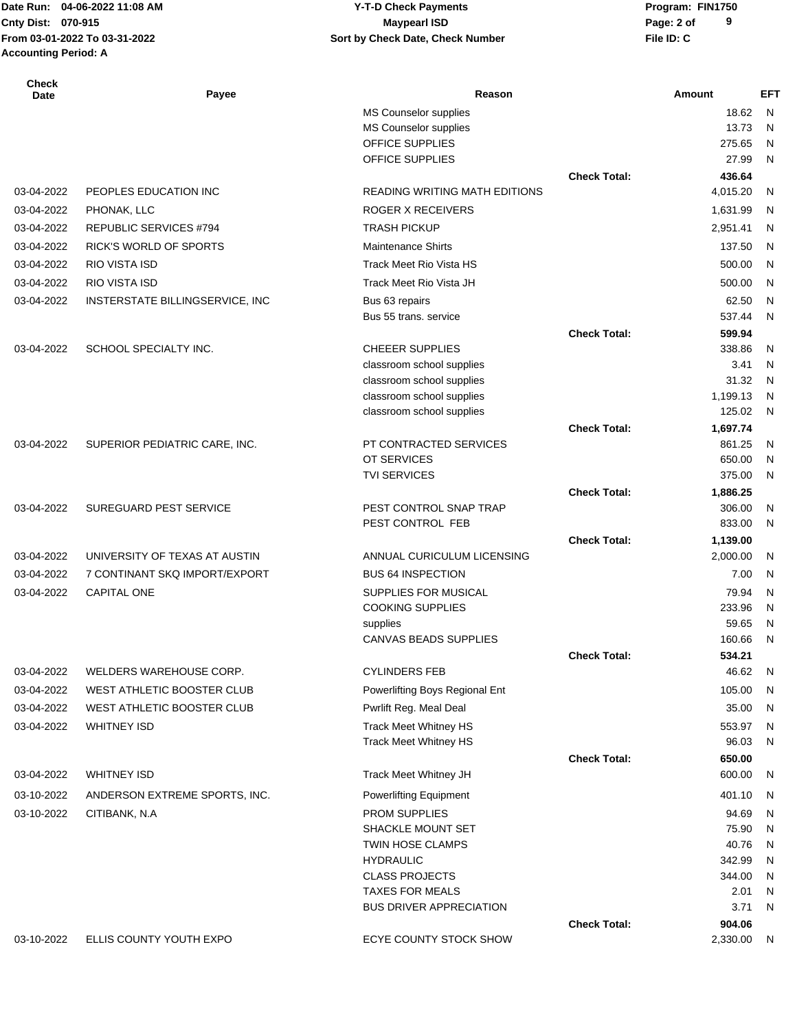# **Cnty Dist:** 070-915 **Page: 2 of Page: 2 of Page: 2 of Page: 2 of Page: 2 of 04-06-2022 11:08 AM Y-T-D Check Payments 070-915 Maypearl ISD**

| Check<br>Date | Payee                           | Reason                                          |                     | <b>Amount</b>    | EFT          |
|---------------|---------------------------------|-------------------------------------------------|---------------------|------------------|--------------|
|               |                                 | MS Counselor supplies                           |                     | 18.62            | N            |
|               |                                 | MS Counselor supplies                           |                     | 13.73            | N            |
|               |                                 | OFFICE SUPPLIES<br>OFFICE SUPPLIES              |                     | 275.65<br>27.99  | N<br>N       |
|               |                                 |                                                 | <b>Check Total:</b> | 436.64           |              |
| 03-04-2022    | PEOPLES EDUCATION INC           | <b>READING WRITING MATH EDITIONS</b>            |                     | 4,015.20         | N            |
| 03-04-2022    | PHONAK, LLC                     | ROGER X RECEIVERS                               |                     | 1,631.99         | N            |
| 03-04-2022    | <b>REPUBLIC SERVICES #794</b>   | <b>TRASH PICKUP</b>                             |                     | 2,951.41         | N            |
| 03-04-2022    | RICK'S WORLD OF SPORTS          | <b>Maintenance Shirts</b>                       |                     | 137.50           | N            |
| 03-04-2022    | RIO VISTA ISD                   | <b>Track Meet Rio Vista HS</b>                  |                     | 500.00           | N            |
|               |                                 |                                                 |                     |                  |              |
| 03-04-2022    | RIO VISTA ISD                   | Track Meet Rio Vista JH                         |                     | 500.00           | N            |
| 03-04-2022    | INSTERSTATE BILLINGSERVICE, INC | Bus 63 repairs                                  |                     | 62.50<br>537.44  | $\mathsf{N}$ |
|               |                                 | Bus 55 trans. service                           | <b>Check Total:</b> |                  | N            |
| 03-04-2022    | SCHOOL SPECIALTY INC.           | <b>CHEEER SUPPLIES</b>                          |                     | 599.94<br>338.86 | N            |
|               |                                 | classroom school supplies                       |                     | 3.41             | N            |
|               |                                 | classroom school supplies                       |                     | 31.32            | N            |
|               |                                 | classroom school supplies                       |                     | 1,199.13         | N            |
|               |                                 | classroom school supplies                       |                     | 125.02           | N            |
|               |                                 |                                                 | <b>Check Total:</b> | 1,697.74         |              |
| 03-04-2022    | SUPERIOR PEDIATRIC CARE, INC.   | PT CONTRACTED SERVICES                          |                     | 861.25           | N            |
|               |                                 | OT SERVICES                                     |                     | 650.00           | N            |
|               |                                 | <b>TVI SERVICES</b>                             |                     | 375.00           | N            |
|               |                                 |                                                 | <b>Check Total:</b> | 1,886.25         |              |
| 03-04-2022    | <b>SUREGUARD PEST SERVICE</b>   | PEST CONTROL SNAP TRAP<br>PEST CONTROL FEB      |                     | 306.00<br>833.00 | N<br>N       |
|               |                                 |                                                 | <b>Check Total:</b> | 1,139.00         |              |
| 03-04-2022    | UNIVERSITY OF TEXAS AT AUSTIN   | ANNUAL CURICULUM LICENSING                      |                     | 2,000.00         | N            |
| 03-04-2022    | 7 CONTINANT SKQ IMPORT/EXPORT   | <b>BUS 64 INSPECTION</b>                        |                     | 7.00             | N            |
| 03-04-2022    | <b>CAPITAL ONE</b>              | SUPPLIES FOR MUSICAL                            |                     | 79.94            | N            |
|               |                                 | <b>COOKING SUPPLIES</b>                         |                     | 233.96           | N            |
|               |                                 | supplies                                        |                     | 59.65            | N            |
|               |                                 | <b>CANVAS BEADS SUPPLIES</b>                    |                     | 160.66           | N            |
|               |                                 |                                                 | <b>Check Total:</b> | 534.21           |              |
| 03-04-2022    | WELDERS WAREHOUSE CORP.         | <b>CYLINDERS FEB</b>                            |                     | 46.62            | N            |
| 03-04-2022    | WEST ATHLETIC BOOSTER CLUB      | Powerlifting Boys Regional Ent                  |                     | 105.00           | N            |
| 03-04-2022    | WEST ATHLETIC BOOSTER CLUB      | Pwrlift Reg. Meal Deal                          |                     | 35.00            | N            |
| 03-04-2022    | <b>WHITNEY ISD</b>              | <b>Track Meet Whitney HS</b>                    |                     | 553.97           | N            |
|               |                                 | <b>Track Meet Whitney HS</b>                    |                     | 96.03            | N            |
|               |                                 |                                                 | <b>Check Total:</b> | 650.00           |              |
| 03-04-2022    | <b>WHITNEY ISD</b>              | Track Meet Whitney JH                           |                     | 600.00           | N            |
| 03-10-2022    | ANDERSON EXTREME SPORTS, INC.   | <b>Powerlifting Equipment</b>                   |                     | 401.10           | N            |
| 03-10-2022    | CITIBANK, N.A                   | <b>PROM SUPPLIES</b>                            |                     | 94.69            | $\mathsf{N}$ |
|               |                                 | <b>SHACKLE MOUNT SET</b>                        |                     | 75.90            | $\mathsf{N}$ |
|               |                                 | TWIN HOSE CLAMPS                                |                     | 40.76            | N            |
|               |                                 | <b>HYDRAULIC</b>                                |                     | 342.99           | N            |
|               |                                 | <b>CLASS PROJECTS</b><br><b>TAXES FOR MEALS</b> |                     | 344.00<br>2.01   | N<br>N       |
|               |                                 | <b>BUS DRIVER APPRECIATION</b>                  |                     | 3.71             | N            |
|               |                                 |                                                 | <b>Check Total:</b> | 904.06           |              |
| 03-10-2022    | ELLIS COUNTY YOUTH EXPO         | ECYE COUNTY STOCK SHOW                          |                     | 2,330.00         | N            |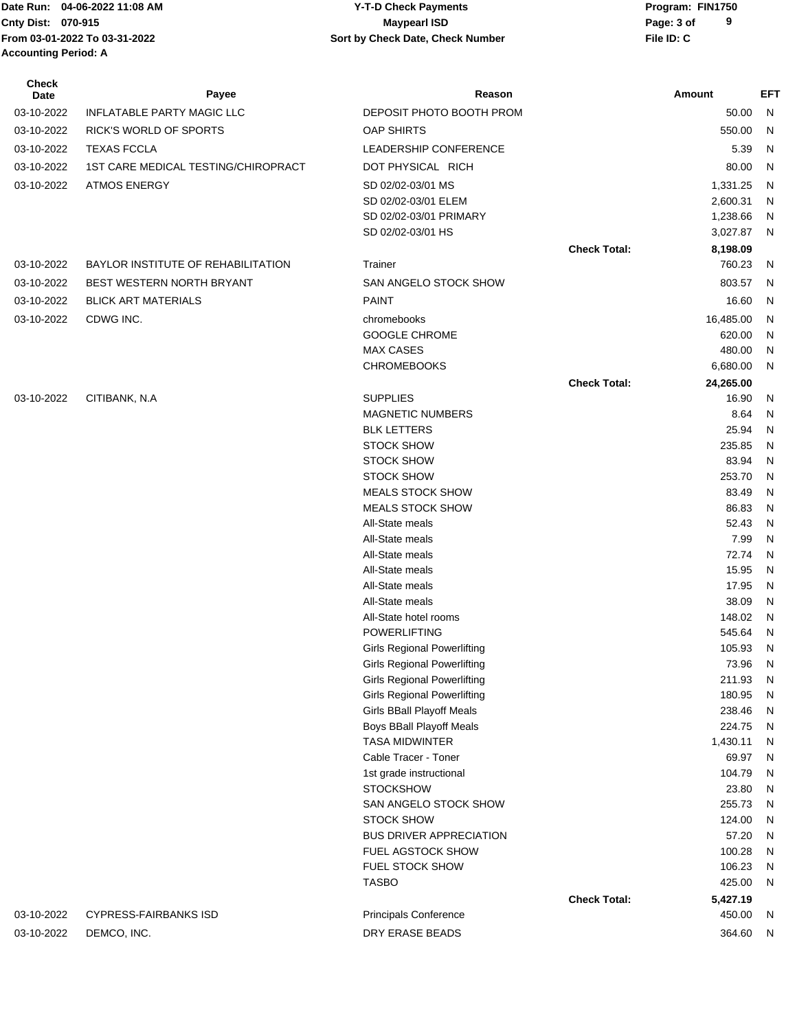**Cnty Dist:** 070-915 **Page: 3 of MaypearI ISD MaypearI ISD From 03-01-2022 To 03-31-2022 File ID: C Sort by Check Date, Check Number Accounting Period: A**

# Date Run: 04-06-2022 11:08 AM **CONTACT CONTACT CONTROLLY-T-D Check Payments** Program: FIN1750 **04-06-2022 11:08 AM Y-T-D Check Payments 070-915 Maypearl ISD**

| Check<br>Date | Payee                               | Reason                                            |                     | Amount               | EFT                          |
|---------------|-------------------------------------|---------------------------------------------------|---------------------|----------------------|------------------------------|
| 03-10-2022    | INFLATABLE PARTY MAGIC LLC          | DEPOSIT PHOTO BOOTH PROM                          |                     | 50.00                | N                            |
| 03-10-2022    | <b>RICK'S WORLD OF SPORTS</b>       | <b>OAP SHIRTS</b>                                 |                     | 550.00               | N                            |
| 03-10-2022    |                                     |                                                   |                     |                      |                              |
|               | <b>TEXAS FCCLA</b>                  | LEADERSHIP CONFERENCE                             |                     | 5.39                 | N                            |
| 03-10-2022    | 1ST CARE MEDICAL TESTING/CHIROPRACT | DOT PHYSICAL RICH                                 |                     | 80.00                | N                            |
| 03-10-2022    | <b>ATMOS ENERGY</b>                 | SD 02/02-03/01 MS                                 |                     | 1,331.25             | N                            |
|               |                                     | SD 02/02-03/01 ELEM                               |                     | 2,600.31             | N                            |
|               |                                     | SD 02/02-03/01 PRIMARY<br>SD 02/02-03/01 HS       |                     | 1,238.66<br>3,027.87 | N<br>N                       |
|               |                                     |                                                   |                     |                      |                              |
| 03-10-2022    | BAYLOR INSTITUTE OF REHABILITATION  | Trainer                                           | <b>Check Total:</b> | 8,198.09<br>760.23   | N                            |
|               |                                     |                                                   |                     |                      |                              |
| 03-10-2022    | BEST WESTERN NORTH BRYANT           | SAN ANGELO STOCK SHOW                             |                     | 803.57               | N                            |
| 03-10-2022    | <b>BLICK ART MATERIALS</b>          | <b>PAINT</b>                                      |                     | 16.60                | N                            |
| 03-10-2022    | CDWG INC.                           | chromebooks                                       |                     | 16,485.00            | N                            |
|               |                                     | <b>GOOGLE CHROME</b>                              |                     | 620.00               | N                            |
|               |                                     | <b>MAX CASES</b>                                  |                     | 480.00               | N                            |
|               |                                     | <b>CHROMEBOOKS</b>                                |                     | 6,680.00             | N                            |
|               |                                     |                                                   | <b>Check Total:</b> | 24,265.00            |                              |
| 03-10-2022    | CITIBANK, N.A                       | <b>SUPPLIES</b>                                   |                     | 16.90                | N                            |
|               |                                     | <b>MAGNETIC NUMBERS</b>                           |                     | 8.64                 | N                            |
|               |                                     | <b>BLK LETTERS</b><br><b>STOCK SHOW</b>           |                     | 25.94<br>235.85      | N<br>N                       |
|               |                                     | <b>STOCK SHOW</b>                                 |                     | 83.94                | N                            |
|               |                                     | <b>STOCK SHOW</b>                                 |                     | 253.70               | N                            |
|               |                                     | <b>MEALS STOCK SHOW</b>                           |                     | 83.49                | N                            |
|               |                                     | <b>MEALS STOCK SHOW</b>                           |                     | 86.83                | N                            |
|               |                                     | All-State meals                                   |                     | 52.43                | N                            |
|               |                                     | All-State meals                                   |                     | 7.99                 | N                            |
|               |                                     | All-State meals                                   |                     | 72.74                | N                            |
|               |                                     | All-State meals                                   |                     | 15.95                | N                            |
|               |                                     | All-State meals                                   |                     | 17.95                | N                            |
|               |                                     | All-State meals                                   |                     | 38.09                | N                            |
|               |                                     | All-State hotel rooms                             |                     | 148.02               | N                            |
|               |                                     | <b>POWERLIFTING</b>                               |                     | 545.64               | N                            |
|               |                                     | <b>Girls Regional Powerlifting</b>                |                     | 105.93               | - N                          |
|               |                                     | <b>Girls Regional Powerlifting</b>                |                     | 73.96 N              |                              |
|               |                                     | <b>Girls Regional Powerlifting</b>                |                     | 211.93               | N,                           |
|               |                                     | <b>Girls Regional Powerlifting</b>                |                     | 180.95               | $\mathsf{N}$                 |
|               |                                     | Girls BBall Playoff Meals                         |                     | 238.46<br>224.75     | $\mathsf{N}$<br>$\mathsf{N}$ |
|               |                                     | Boys BBall Playoff Meals<br><b>TASA MIDWINTER</b> |                     | 1,430.11             | N                            |
|               |                                     | Cable Tracer - Toner                              |                     | 69.97                | $\mathsf{N}$                 |
|               |                                     | 1st grade instructional                           |                     | 104.79               | N                            |
|               |                                     | <b>STOCKSHOW</b>                                  |                     | 23.80                | N                            |
|               |                                     | SAN ANGELO STOCK SHOW                             |                     | 255.73               | N                            |
|               |                                     | <b>STOCK SHOW</b>                                 |                     | 124.00               | $\mathsf{N}$                 |
|               |                                     | <b>BUS DRIVER APPRECIATION</b>                    |                     | 57.20                | $\mathsf{N}$                 |
|               |                                     | FUEL AGSTOCK SHOW                                 |                     | 100.28               | $\mathsf{N}$                 |
|               |                                     | <b>FUEL STOCK SHOW</b>                            |                     | 106.23               | $\mathsf{N}$                 |
|               |                                     | <b>TASBO</b>                                      |                     | 425.00               | N                            |
|               |                                     |                                                   | <b>Check Total:</b> | 5,427.19             |                              |
| 03-10-2022    | <b>CYPRESS-FAIRBANKS ISD</b>        | Principals Conference                             |                     | 450.00               | N                            |
| 03-10-2022    | DEMCO, INC.                         | DRY ERASE BEADS                                   |                     | 364.60               | N,                           |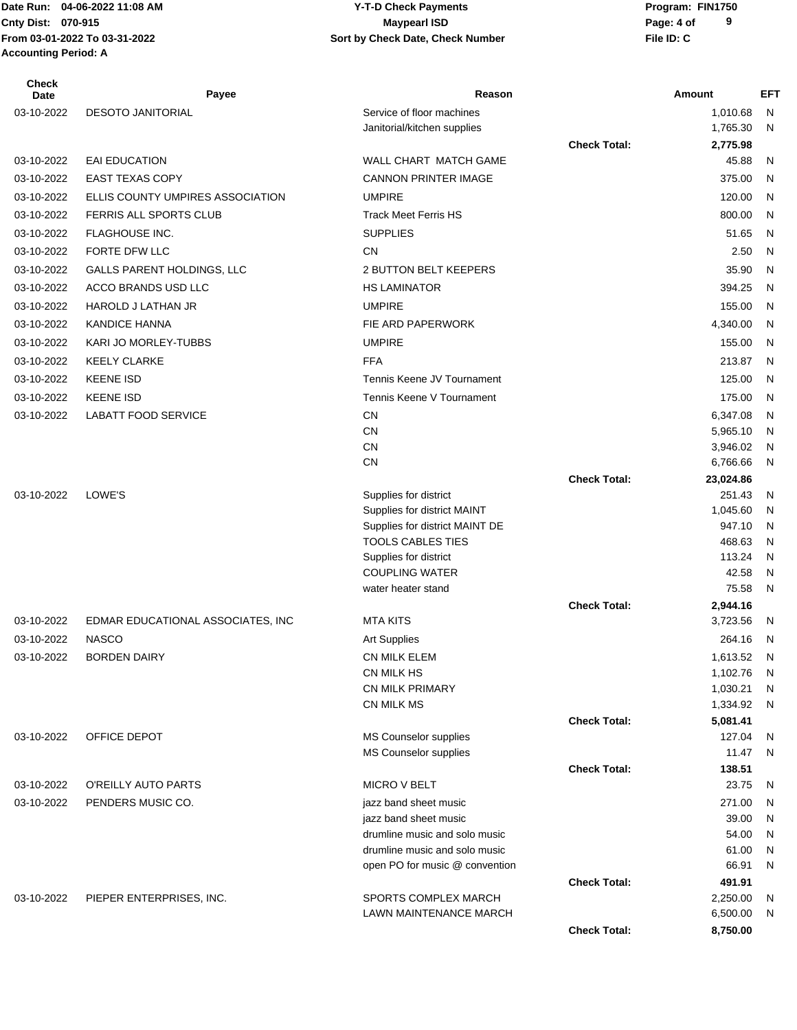# **Cnty Dist:** 070-915 **Page: 4 of MaypearI ISD MaypearI ISD 04-06-2022 11:08 AM Y-T-D Check Payments 070-915 Maypearl ISD**

| <b>Check</b><br><b>Date</b> | Payee                             | Reason                                                 |                     | Amount               | EFT          |
|-----------------------------|-----------------------------------|--------------------------------------------------------|---------------------|----------------------|--------------|
| 03-10-2022                  | <b>DESOTO JANITORIAL</b>          | Service of floor machines                              |                     | 1,010.68             | N            |
|                             |                                   | Janitorial/kitchen supplies                            |                     | 1,765.30             | N            |
|                             |                                   |                                                        | <b>Check Total:</b> | 2,775.98             |              |
| 03-10-2022                  | <b>EAI EDUCATION</b>              | WALL CHART MATCH GAME                                  |                     | 45.88                | N            |
| 03-10-2022                  | <b>EAST TEXAS COPY</b>            | <b>CANNON PRINTER IMAGE</b>                            |                     | 375.00               | N            |
| 03-10-2022                  | ELLIS COUNTY UMPIRES ASSOCIATION  | <b>UMPIRE</b>                                          |                     | 120.00               | N            |
| 03-10-2022                  | FERRIS ALL SPORTS CLUB            | <b>Track Meet Ferris HS</b>                            |                     | 800.00               | N            |
| 03-10-2022                  | FLAGHOUSE INC.                    | <b>SUPPLIES</b>                                        |                     | 51.65                | N            |
| 03-10-2022                  | FORTE DFW LLC                     | <b>CN</b>                                              |                     | 2.50                 | N            |
| 03-10-2022                  | <b>GALLS PARENT HOLDINGS, LLC</b> | 2 BUTTON BELT KEEPERS                                  |                     | 35.90                | N            |
| 03-10-2022                  | ACCO BRANDS USD LLC               | <b>HS LAMINATOR</b>                                    |                     | 394.25               | N            |
| 03-10-2022                  | HAROLD J LATHAN JR                | <b>UMPIRE</b>                                          |                     | 155.00               | N            |
| 03-10-2022                  | <b>KANDICE HANNA</b>              | FIE ARD PAPERWORK                                      |                     | 4,340.00             | N            |
| 03-10-2022                  | KARI JO MORLEY-TUBBS              | <b>UMPIRE</b>                                          |                     | 155.00               | N            |
| 03-10-2022                  | <b>KEELY CLARKE</b>               | <b>FFA</b>                                             |                     | 213.87               | N            |
| 03-10-2022                  | <b>KEENE ISD</b>                  | Tennis Keene JV Tournament                             |                     | 125.00               | N            |
| 03-10-2022                  | <b>KEENE ISD</b>                  | Tennis Keene V Tournament                              |                     | 175.00               | N            |
|                             |                                   |                                                        |                     |                      |              |
| 03-10-2022                  | <b>LABATT FOOD SERVICE</b>        | CN<br><b>CN</b>                                        |                     | 6,347.08<br>5,965.10 | N<br>N       |
|                             |                                   | CN                                                     |                     | 3,946.02             | N            |
|                             |                                   | <b>CN</b>                                              |                     | 6,766.66             | N            |
|                             |                                   |                                                        | <b>Check Total:</b> | 23,024.86            |              |
| 03-10-2022                  | LOWE'S                            | Supplies for district                                  |                     | 251.43               | N            |
|                             |                                   | Supplies for district MAINT                            |                     | 1,045.60             | N            |
|                             |                                   | Supplies for district MAINT DE                         |                     | 947.10               | N            |
|                             |                                   | <b>TOOLS CABLES TIES</b>                               |                     | 468.63               | N            |
|                             |                                   | Supplies for district<br><b>COUPLING WATER</b>         |                     | 113.24<br>42.58      | N<br>N       |
|                             |                                   | water heater stand                                     |                     | 75.58                | $\mathsf{N}$ |
|                             |                                   |                                                        | <b>Check Total:</b> | 2,944.16             |              |
| 03-10-2022                  | EDMAR EDUCATIONAL ASSOCIATES, INC | <b>MTA KITS</b>                                        |                     | 3,723.56             | N.           |
| 03-10-2022                  | <b>NASCO</b>                      | <b>Art Supplies</b>                                    |                     | 264.16               | - N          |
| 03-10-2022                  | <b>BORDEN DAIRY</b>               | CN MILK ELEM                                           |                     | 1,613.52             | N            |
|                             |                                   | CN MILK HS                                             |                     | 1,102.76             | N            |
|                             |                                   | <b>CN MILK PRIMARY</b>                                 |                     | 1,030.21             | N            |
|                             |                                   | CN MILK MS                                             |                     | 1,334.92             | N            |
|                             |                                   |                                                        | <b>Check Total:</b> | 5,081.41             |              |
| 03-10-2022                  | OFFICE DEPOT                      | MS Counselor supplies                                  |                     | 127.04               | N            |
|                             |                                   | MS Counselor supplies                                  |                     | 11.47                | N            |
|                             |                                   |                                                        | <b>Check Total:</b> | 138.51               |              |
| 03-10-2022                  | O'REILLY AUTO PARTS               | <b>MICRO V BELT</b>                                    |                     | 23.75                | N            |
| 03-10-2022                  | PENDERS MUSIC CO.                 | jazz band sheet music                                  |                     | 271.00               | N            |
|                             |                                   | jazz band sheet music<br>drumline music and solo music |                     | 39.00<br>54.00       | N            |
|                             |                                   | drumline music and solo music                          |                     | 61.00                | N<br>N       |
|                             |                                   | open PO for music @ convention                         |                     | 66.91                | N            |
|                             |                                   |                                                        | <b>Check Total:</b> | 491.91               |              |
| 03-10-2022                  | PIEPER ENTERPRISES, INC.          | SPORTS COMPLEX MARCH                                   |                     | 2,250.00             | N            |
|                             |                                   | LAWN MAINTENANCE MARCH                                 |                     | 6,500.00             | N            |
|                             |                                   |                                                        | <b>Check Total:</b> | 8,750.00             |              |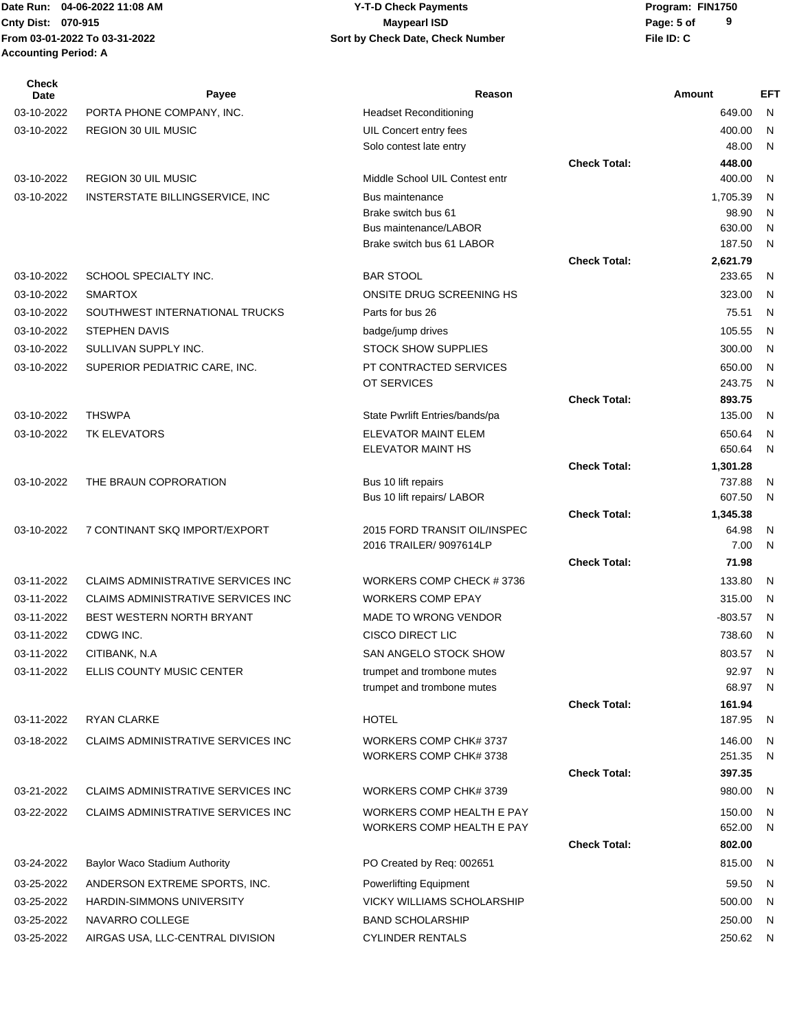**From 03-01-2022 To 03-31-2022 File ID: C Sort by Check Date, Check Number Accounting Period: A**

#### Date Run: 04-06-2022 11:08 AM **CONTACT CONTACT CONTROLLY-T-D Check Payments** Program: FIN1750 **Cnty Dist:** 070-915 **Page:** 5 of **04-06-2022 11:08 AM Y-T-D Check Payments 070-915 Maypearl ISD**

| <b>Check</b><br><b>Date</b> | Payee                                     | Reason                                             |                     | Amount            | <b>EFT</b> |
|-----------------------------|-------------------------------------------|----------------------------------------------------|---------------------|-------------------|------------|
| 03-10-2022                  | PORTA PHONE COMPANY, INC.                 | <b>Headset Reconditioning</b>                      |                     | 649.00            | N          |
| 03-10-2022                  | REGION 30 UIL MUSIC                       | UIL Concert entry fees                             |                     | 400.00            | N          |
|                             |                                           | Solo contest late entry                            |                     | 48.00             | N          |
|                             |                                           |                                                    | <b>Check Total:</b> | 448.00            |            |
| 03-10-2022                  | <b>REGION 30 UIL MUSIC</b>                | Middle School UIL Contest entr                     |                     | 400.00            | N          |
| 03-10-2022                  | INSTERSTATE BILLINGSERVICE, INC           | <b>Bus maintenance</b>                             |                     | 1,705.39          | N          |
|                             |                                           | Brake switch bus 61                                |                     | 98.90             | N          |
|                             |                                           | Bus maintenance/LABOR<br>Brake switch bus 61 LABOR |                     | 630.00<br>187.50  | N<br>N     |
|                             |                                           |                                                    | <b>Check Total:</b> | 2,621.79          |            |
| 03-10-2022                  | SCHOOL SPECIALTY INC.                     | <b>BAR STOOL</b>                                   |                     | 233.65            | N          |
| 03-10-2022                  | <b>SMARTOX</b>                            | ONSITE DRUG SCREENING HS                           |                     | 323.00            | N          |
| 03-10-2022                  | SOUTHWEST INTERNATIONAL TRUCKS            | Parts for bus 26                                   |                     | 75.51             | N          |
| 03-10-2022                  | <b>STEPHEN DAVIS</b>                      | badge/jump drives                                  |                     | 105.55            | N          |
| 03-10-2022                  | SULLIVAN SUPPLY INC.                      | <b>STOCK SHOW SUPPLIES</b>                         |                     | 300.00            | N          |
| 03-10-2022                  | SUPERIOR PEDIATRIC CARE, INC.             | PT CONTRACTED SERVICES                             |                     | 650.00            | N          |
|                             |                                           | OT SERVICES                                        |                     | 243.75            | N          |
|                             |                                           |                                                    | <b>Check Total:</b> | 893.75            |            |
| 03-10-2022                  | <b>THSWPA</b>                             | State Pwrlift Entries/bands/pa                     |                     | 135.00            | N          |
| 03-10-2022                  | TK ELEVATORS                              | ELEVATOR MAINT ELEM                                |                     | 650.64            | N          |
|                             |                                           | ELEVATOR MAINT HS                                  |                     | 650.64            | N          |
|                             |                                           |                                                    | <b>Check Total:</b> | 1,301.28          |            |
| 03-10-2022                  | THE BRAUN COPRORATION                     | Bus 10 lift repairs                                |                     | 737.88            | N          |
|                             |                                           | Bus 10 lift repairs/ LABOR                         | <b>Check Total:</b> | 607.50            | N          |
| 03-10-2022                  | 7 CONTINANT SKQ IMPORT/EXPORT             | 2015 FORD TRANSIT OIL/INSPEC                       |                     | 1,345.38<br>64.98 | N          |
|                             |                                           | 2016 TRAILER/ 9097614LP                            |                     | 7.00              | N          |
|                             |                                           |                                                    | <b>Check Total:</b> | 71.98             |            |
| 03-11-2022                  | <b>CLAIMS ADMINISTRATIVE SERVICES INC</b> | WORKERS COMP CHECK #3736                           |                     | 133.80            | N          |
| 03-11-2022                  | <b>CLAIMS ADMINISTRATIVE SERVICES INC</b> | <b>WORKERS COMP EPAY</b>                           |                     | 315.00            | N          |
| 03-11-2022                  | BEST WESTERN NORTH BRYANT                 | <b>MADE TO WRONG VENDOR</b>                        |                     | $-803.57$         | N          |
| 03-11-2022                  | CDWG INC.                                 | <b>CISCO DIRECT LIC</b>                            |                     | 738.60            | N          |
| 03-11-2022                  | CITIBANK, N.A                             | SAN ANGELO STOCK SHOW                              |                     | 803.57            | N          |
| 03-11-2022                  | ELLIS COUNTY MUSIC CENTER                 | trumpet and trombone mutes                         |                     | 92.97             | N          |
|                             |                                           | trumpet and trombone mutes                         |                     | 68.97             | N          |
|                             |                                           |                                                    | <b>Check Total:</b> | 161.94            |            |
| 03-11-2022                  | <b>RYAN CLARKE</b>                        | <b>HOTEL</b>                                       |                     | 187.95            | N          |
| 03-18-2022                  | <b>CLAIMS ADMINISTRATIVE SERVICES INC</b> | WORKERS COMP CHK# 3737                             |                     | 146.00            | N          |
|                             |                                           | WORKERS COMP CHK# 3738                             |                     | 251.35            | N          |
|                             |                                           |                                                    | <b>Check Total:</b> | 397.35            |            |
| 03-21-2022                  | CLAIMS ADMINISTRATIVE SERVICES INC        | WORKERS COMP CHK# 3739                             |                     | 980.00            | N          |
| 03-22-2022                  | CLAIMS ADMINISTRATIVE SERVICES INC        | WORKERS COMP HEALTH E PAY                          |                     | 150.00            | N          |
|                             |                                           | <b>WORKERS COMP HEALTH E PAY</b>                   |                     | 652.00            | N          |
|                             |                                           |                                                    | <b>Check Total:</b> | 802.00            |            |
| 03-24-2022                  | Baylor Waco Stadium Authority             | PO Created by Req: 002651                          |                     | 815.00            | N          |
| 03-25-2022                  | ANDERSON EXTREME SPORTS, INC.             | Powerlifting Equipment                             |                     | 59.50             | N          |
| 03-25-2022                  | <b>HARDIN-SIMMONS UNIVERSITY</b>          | VICKY WILLIAMS SCHOLARSHIP                         |                     | 500.00            | N          |
| 03-25-2022                  | NAVARRO COLLEGE                           | <b>BAND SCHOLARSHIP</b>                            |                     | 250.00            | N          |
| 03-25-2022                  | AIRGAS USA, LLC-CENTRAL DIVISION          | <b>CYLINDER RENTALS</b>                            |                     | 250.62            | N,         |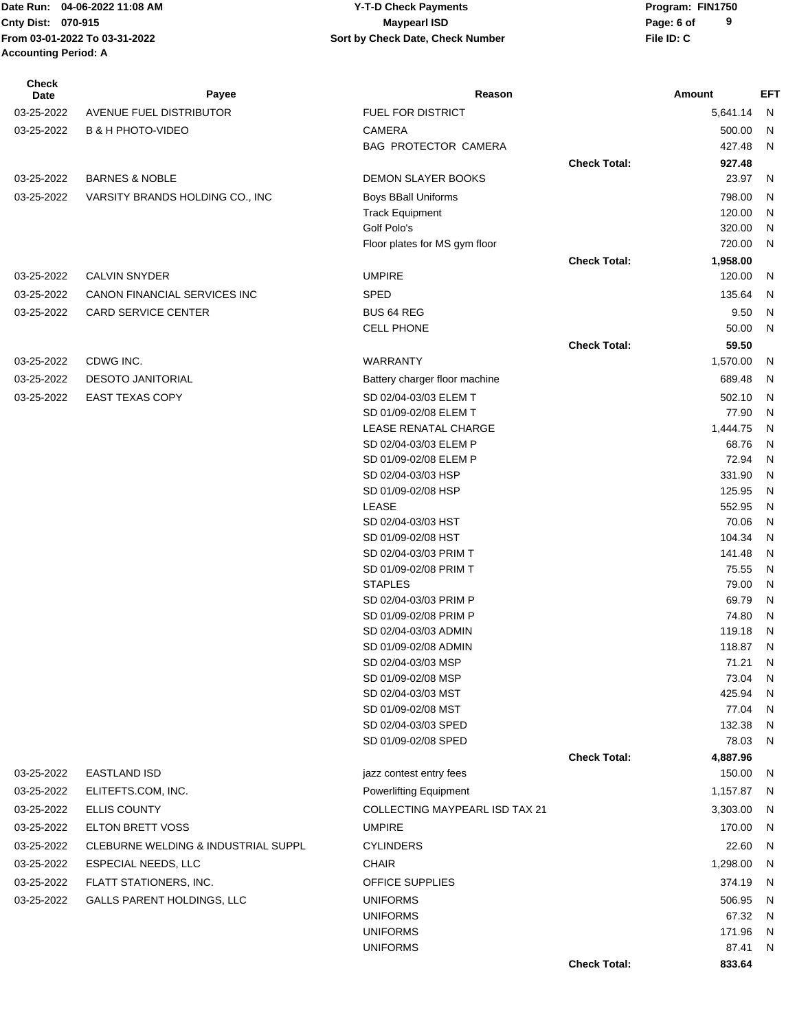**From 03-01-2022 To 03-31-2022 File ID: C Sort by Check Date, Check Number Accounting Period: A**

| Check<br>Date | Payee                               | Reason                                    |                     | Amount           | EFT               |
|---------------|-------------------------------------|-------------------------------------------|---------------------|------------------|-------------------|
| 03-25-2022    | AVENUE FUEL DISTRIBUTOR             | <b>FUEL FOR DISTRICT</b>                  |                     | 5,641.14         | N                 |
| 03-25-2022    | <b>B &amp; H PHOTO-VIDEO</b>        | <b>CAMERA</b>                             |                     | 500.00           | N.                |
|               |                                     | BAG PROTECTOR CAMERA                      |                     | 427.48           | N                 |
|               |                                     |                                           | <b>Check Total:</b> | 927.48           |                   |
| 03-25-2022    | <b>BARNES &amp; NOBLE</b>           | <b>DEMON SLAYER BOOKS</b>                 |                     | 23.97            | N                 |
| 03-25-2022    | VARSITY BRANDS HOLDING CO., INC     | <b>Boys BBall Uniforms</b>                |                     | 798.00           | N                 |
|               |                                     | <b>Track Equipment</b>                    |                     | 120.00           | N                 |
|               |                                     | Golf Polo's                               |                     | 320.00           | N                 |
|               |                                     | Floor plates for MS gym floor             |                     | 720.00           | N.                |
|               |                                     |                                           | <b>Check Total:</b> | 1,958.00         |                   |
| 03-25-2022    | <b>CALVIN SNYDER</b>                | <b>UMPIRE</b>                             |                     | 120.00           | N                 |
| 03-25-2022    | CANON FINANCIAL SERVICES INC        | <b>SPED</b>                               |                     | 135.64           | N.                |
| 03-25-2022    | <b>CARD SERVICE CENTER</b>          | <b>BUS 64 REG</b>                         |                     | 9.50             | N                 |
|               |                                     | <b>CELL PHONE</b>                         |                     | 50.00            | N                 |
|               |                                     |                                           | <b>Check Total:</b> | 59.50            |                   |
| 03-25-2022    | CDWG INC.                           | <b>WARRANTY</b>                           |                     | 1,570.00         | N                 |
| 03-25-2022    | <b>DESOTO JANITORIAL</b>            | Battery charger floor machine             |                     | 689.48           | N                 |
| 03-25-2022    | <b>EAST TEXAS COPY</b>              | SD 02/04-03/03 ELEM T                     |                     | 502.10           | N                 |
|               |                                     | SD 01/09-02/08 ELEM T                     |                     | 77.90            | N                 |
|               |                                     | LEASE RENATAL CHARGE                      |                     | 1,444.75         | N                 |
|               |                                     | SD 02/04-03/03 ELEM P                     |                     | 68.76            | N                 |
|               |                                     | SD 01/09-02/08 ELEM P                     |                     | 72.94            | $\mathsf{N}$      |
|               |                                     | SD 02/04-03/03 HSP                        |                     | 331.90           | N                 |
|               |                                     | SD 01/09-02/08 HSP<br>LEASE               |                     | 125.95<br>552.95 | N<br>N            |
|               |                                     | SD 02/04-03/03 HST                        |                     | 70.06            | N                 |
|               |                                     | SD 01/09-02/08 HST                        |                     | 104.34           | N                 |
|               |                                     | SD 02/04-03/03 PRIM T                     |                     | 141.48           | N                 |
|               |                                     | SD 01/09-02/08 PRIM T                     |                     | 75.55            | N                 |
|               |                                     | <b>STAPLES</b>                            |                     | 79.00            | N                 |
|               |                                     | SD 02/04-03/03 PRIM P                     |                     | 69.79            | N                 |
|               |                                     | SD 01/09-02/08 PRIM P                     |                     | 74.80            | N                 |
|               |                                     | SD 02/04-03/03 ADMIN                      |                     | 119.18           | N.                |
|               |                                     | SD 01/09-02/08 ADMIN                      |                     | 118.87 N         |                   |
|               |                                     | SD 02/04-03/03 MSP                        |                     | 71.21            | ${\sf N}$         |
|               |                                     | SD 01/09-02/08 MSP                        |                     | 73.04            | N                 |
|               |                                     | SD 02/04-03/03 MST                        |                     | 425.94           | ${\sf N}$         |
|               |                                     | SD 01/09-02/08 MST<br>SD 02/04-03/03 SPED |                     | 77.04            | N<br>$\mathsf{N}$ |
|               |                                     | SD 01/09-02/08 SPED                       |                     | 132.38<br>78.03  | N                 |
|               |                                     |                                           | <b>Check Total:</b> | 4,887.96         |                   |
| 03-25-2022    | <b>EASTLAND ISD</b>                 | jazz contest entry fees                   |                     | 150.00           | N,                |
| 03-25-2022    | ELITEFTS.COM, INC.                  | <b>Powerlifting Equipment</b>             |                     | 1,157.87         | N,                |
|               |                                     | <b>COLLECTING MAYPEARL ISD TAX 21</b>     |                     |                  |                   |
| 03-25-2022    | <b>ELLIS COUNTY</b>                 |                                           |                     | 3,303.00         | N.                |
| 03-25-2022    | <b>ELTON BRETT VOSS</b>             | <b>UMPIRE</b>                             |                     | 170.00           | N                 |
| 03-25-2022    | CLEBURNE WELDING & INDUSTRIAL SUPPL | <b>CYLINDERS</b>                          |                     | 22.60            | N                 |
| 03-25-2022    | <b>ESPECIAL NEEDS, LLC</b>          | <b>CHAIR</b>                              |                     | 1,298.00         | N                 |
| 03-25-2022    | FLATT STATIONERS, INC.              | <b>OFFICE SUPPLIES</b>                    |                     | 374.19           | N                 |
| 03-25-2022    | GALLS PARENT HOLDINGS, LLC          | <b>UNIFORMS</b>                           |                     | 506.95           | N                 |
|               |                                     | <b>UNIFORMS</b>                           |                     | 67.32            | N                 |
|               |                                     | <b>UNIFORMS</b>                           |                     | 171.96           | N                 |
|               |                                     | <b>UNIFORMS</b>                           |                     | 87.41            | N                 |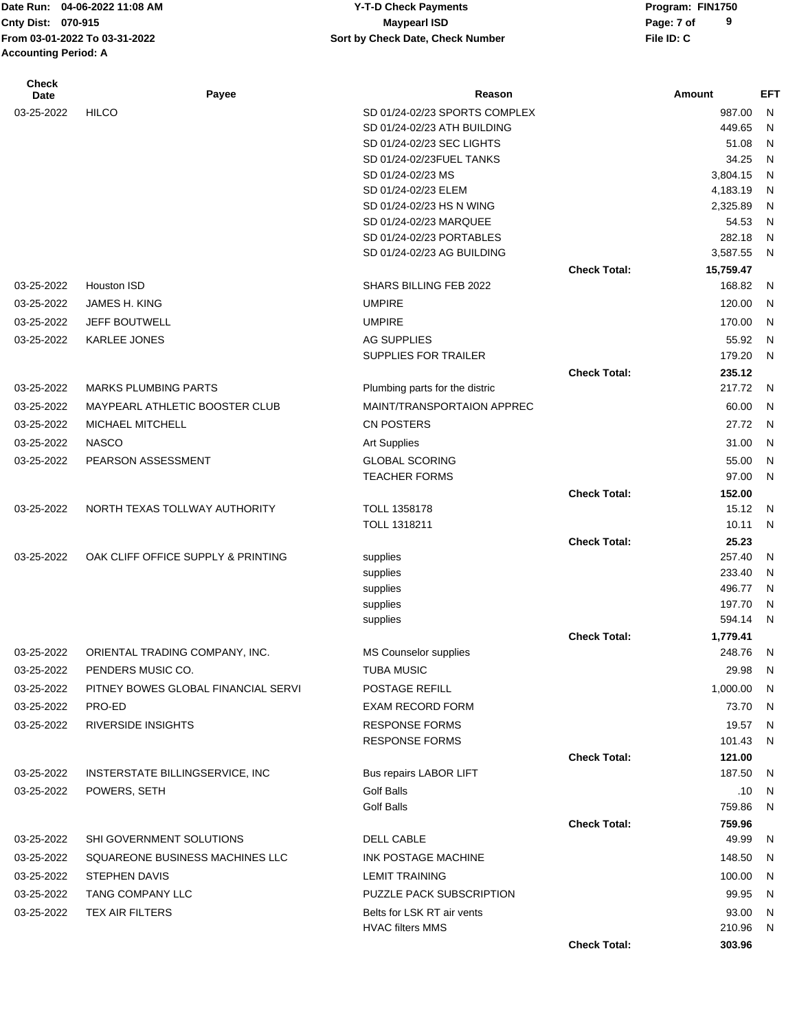**From 03-01-2022 To 03-31-2022 File ID: C Sort by Check Date, Check Number Accounting Period: A**

### Date Run: 04-06-2022 11:08 AM **CONTACT CONTACT CONTROLLY-T-D Check Payments** Program: FIN1750 **Cnty Dist:** 070-915 **Page: 7 of MaypearI ISD MaypearI ISD 04-06-2022 11:08 AM Y-T-D Check Payments 070-915 Maypearl ISD**

| <b>Check</b><br>Date | Payee                               | Reason                                                       |                     | Amount              | <b>EFT</b>   |
|----------------------|-------------------------------------|--------------------------------------------------------------|---------------------|---------------------|--------------|
| 03-25-2022           | <b>HILCO</b>                        | SD 01/24-02/23 SPORTS COMPLEX                                |                     | 987.00              | N            |
|                      |                                     | SD 01/24-02/23 ATH BUILDING                                  |                     | 449.65              | N            |
|                      |                                     | SD 01/24-02/23 SEC LIGHTS                                    |                     | 51.08               | N            |
|                      |                                     | SD 01/24-02/23FUEL TANKS                                     |                     | 34.25               | N            |
|                      |                                     | SD 01/24-02/23 MS                                            |                     | 3,804.15            | N            |
|                      |                                     | SD 01/24-02/23 ELEM                                          |                     | 4,183.19            | N            |
|                      |                                     | SD 01/24-02/23 HS N WING                                     |                     | 2,325.89            | N            |
|                      |                                     | SD 01/24-02/23 MARQUEE                                       |                     | 54.53               | N            |
|                      |                                     | SD 01/24-02/23 PORTABLES                                     |                     | 282.18              | N            |
|                      |                                     | SD 01/24-02/23 AG BUILDING                                   |                     | 3,587.55            | N            |
|                      | Houston ISD                         | SHARS BILLING FEB 2022                                       | <b>Check Total:</b> | 15,759.47<br>168.82 |              |
| 03-25-2022           |                                     |                                                              |                     |                     | N            |
| 03-25-2022           | JAMES H. KING                       | <b>UMPIRE</b>                                                |                     | 120.00              | $\mathsf{N}$ |
| 03-25-2022           | <b>JEFF BOUTWELL</b>                | <b>UMPIRE</b>                                                |                     | 170.00              | $\mathsf{N}$ |
| 03-25-2022           | KARLEE JONES                        | <b>AG SUPPLIES</b>                                           |                     | 55.92               | $\mathsf{N}$ |
|                      |                                     | SUPPLIES FOR TRAILER                                         |                     | 179.20              | N            |
| 03-25-2022           | <b>MARKS PLUMBING PARTS</b>         |                                                              | <b>Check Total:</b> | 235.12<br>217.72    | $\mathsf{N}$ |
| 03-25-2022           | MAYPEARL ATHLETIC BOOSTER CLUB      | Plumbing parts for the distric<br>MAINT/TRANSPORTAION APPREC |                     |                     | $\mathsf{N}$ |
|                      | MICHAEL MITCHELL                    |                                                              |                     | 60.00               |              |
| 03-25-2022           |                                     | <b>CN POSTERS</b>                                            |                     | 27.72               | $\mathsf{N}$ |
| 03-25-2022           | <b>NASCO</b>                        | <b>Art Supplies</b>                                          |                     | 31.00               | $\mathsf{N}$ |
| 03-25-2022           | PEARSON ASSESSMENT                  | <b>GLOBAL SCORING</b><br><b>TEACHER FORMS</b>                |                     | 55.00<br>97.00      | N<br>N       |
|                      |                                     |                                                              | <b>Check Total:</b> | 152.00              |              |
| 03-25-2022           | NORTH TEXAS TOLLWAY AUTHORITY       | <b>TOLL 1358178</b>                                          |                     | 15.12               | $\mathsf{N}$ |
|                      |                                     | TOLL 1318211                                                 |                     | 10.11               | $\mathsf{N}$ |
|                      |                                     |                                                              | <b>Check Total:</b> | 25.23               |              |
| 03-25-2022           | OAK CLIFF OFFICE SUPPLY & PRINTING  | supplies                                                     |                     | 257.40              | N            |
|                      |                                     | supplies                                                     |                     | 233.40              | N            |
|                      |                                     | supplies                                                     |                     | 496.77              | N            |
|                      |                                     | supplies                                                     |                     | 197.70              | N            |
|                      |                                     | supplies                                                     |                     | 594.14              | N            |
|                      |                                     |                                                              | <b>Check Total:</b> | 1,779.41            |              |
| 03-25-2022           | ORIENTAL TRADING COMPANY, INC.      | <b>MS Counselor supplies</b>                                 |                     | 248.76              | N            |
| 03-25-2022           | PENDERS MUSIC CO.                   | <b>TUBA MUSIC</b>                                            |                     | 29.98               | N            |
| 03-25-2022           | PITNEY BOWES GLOBAL FINANCIAL SERVI | POSTAGE REFILL                                               |                     | 1,000.00            | N            |
| 03-25-2022           | PRO-ED                              | <b>EXAM RECORD FORM</b>                                      |                     | 73.70               | -N           |
| 03-25-2022           | <b>RIVERSIDE INSIGHTS</b>           | <b>RESPONSE FORMS</b>                                        |                     | 19.57               | N.           |
|                      |                                     | <b>RESPONSE FORMS</b>                                        |                     | 101.43              | N            |
| 03-25-2022           | INSTERSTATE BILLINGSERVICE, INC     | Bus repairs LABOR LIFT                                       | <b>Check Total:</b> | 121.00<br>187.50    | N.           |
| 03-25-2022           | POWERS, SETH                        | Golf Balls                                                   |                     |                     |              |
|                      |                                     | <b>Golf Balls</b>                                            |                     | .10<br>759.86       | N<br>N       |
|                      |                                     |                                                              | <b>Check Total:</b> | 759.96              |              |
| 03-25-2022           | SHI GOVERNMENT SOLUTIONS            | DELL CABLE                                                   |                     | 49.99               | N            |
| 03-25-2022           | SQUAREONE BUSINESS MACHINES LLC     | INK POSTAGE MACHINE                                          |                     | 148.50              | N            |
| 03-25-2022           | <b>STEPHEN DAVIS</b>                | <b>LEMIT TRAINING</b>                                        |                     | 100.00              | N            |
| 03-25-2022           | TANG COMPANY LLC                    | PUZZLE PACK SUBSCRIPTION                                     |                     | 99.95               | -N           |
| 03-25-2022           | TEX AIR FILTERS                     | Belts for LSK RT air vents                                   |                     | 93.00               | N            |
|                      |                                     | <b>HVAC filters MMS</b>                                      |                     | 210.96              | N            |
|                      |                                     |                                                              | <b>Check Total:</b> | 303.96              |              |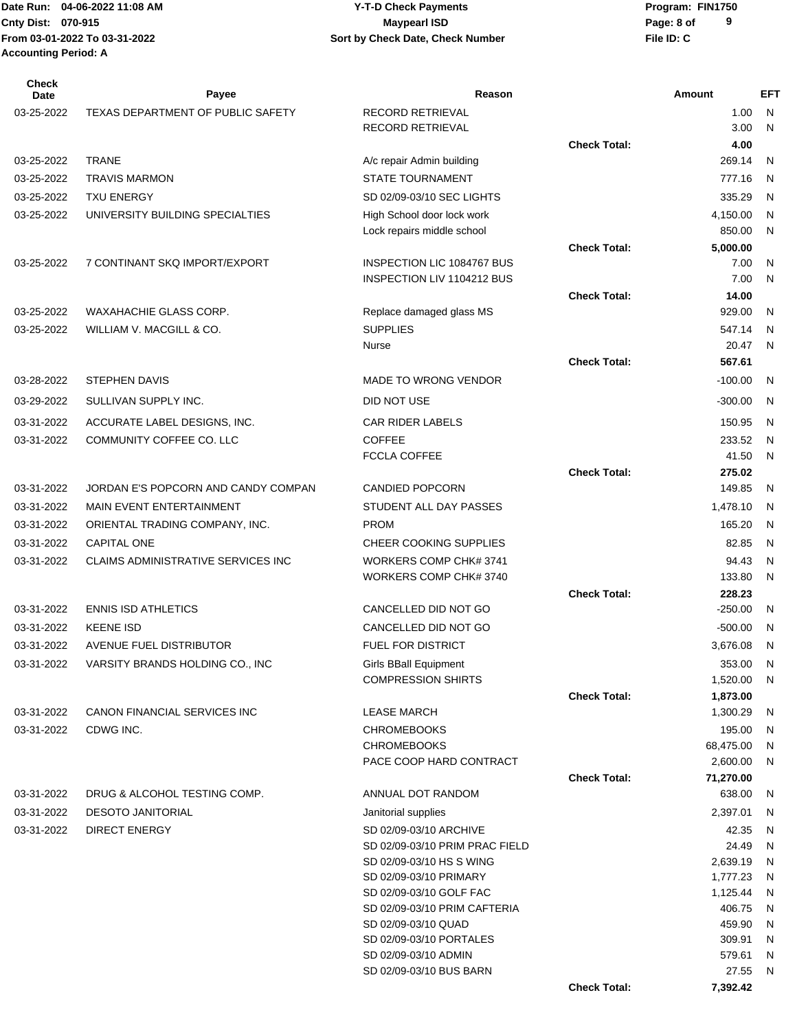### **Cnty Dist:** 070-915 **Page: 8 of Page: 8 of Page: 8 of Page: 8 of Page: 8 of 04-06-2022 11:08 AM Y-T-D Check Payments 070-915 Maypearl ISD**

| Check<br>Date | Payee                               | Reason                                                   |                     | Amount              | <b>EFT</b> |
|---------------|-------------------------------------|----------------------------------------------------------|---------------------|---------------------|------------|
| 03-25-2022    | TEXAS DEPARTMENT OF PUBLIC SAFETY   | <b>RECORD RETRIEVAL</b>                                  |                     | 1.00                | N          |
|               |                                     | RECORD RETRIEVAL                                         |                     | 3.00                | N          |
|               |                                     |                                                          | <b>Check Total:</b> | 4.00                |            |
| 03-25-2022    | <b>TRANE</b>                        | A/c repair Admin building                                |                     | 269.14              | N          |
| 03-25-2022    | <b>TRAVIS MARMON</b>                | <b>STATE TOURNAMENT</b>                                  |                     | 777.16              | N          |
| 03-25-2022    | <b>TXU ENERGY</b>                   | SD 02/09-03/10 SEC LIGHTS                                |                     | 335.29              | N          |
| 03-25-2022    | UNIVERSITY BUILDING SPECIALTIES     | High School door lock work                               |                     | 4,150.00            | N          |
|               |                                     | Lock repairs middle school                               |                     | 850.00              | N          |
|               |                                     |                                                          | <b>Check Total:</b> | 5,000.00            |            |
| 03-25-2022    | 7 CONTINANT SKQ IMPORT/EXPORT       | INSPECTION LIC 1084767 BUS<br>INSPECTION LIV 1104212 BUS |                     | 7.00<br>7.00        | N          |
|               |                                     |                                                          | <b>Check Total:</b> | 14.00               | N          |
| 03-25-2022    | WAXAHACHIE GLASS CORP.              | Replace damaged glass MS                                 |                     | 929.00              | N          |
| 03-25-2022    | WILLIAM V. MACGILL & CO.            | <b>SUPPLIES</b>                                          |                     | 547.14              | N          |
|               |                                     | Nurse                                                    |                     | 20.47               | N          |
|               |                                     |                                                          | <b>Check Total:</b> | 567.61              |            |
| 03-28-2022    | STEPHEN DAVIS                       | <b>MADE TO WRONG VENDOR</b>                              |                     | $-100.00$           | N          |
| 03-29-2022    | SULLIVAN SUPPLY INC.                | DID NOT USE                                              |                     | $-300.00$           | N          |
|               |                                     |                                                          |                     |                     |            |
| 03-31-2022    | ACCURATE LABEL DESIGNS, INC.        | <b>CAR RIDER LABELS</b>                                  |                     | 150.95              | N          |
| 03-31-2022    | COMMUNITY COFFEE CO. LLC            | <b>COFFEE</b><br><b>FCCLA COFFEE</b>                     |                     | 233.52<br>41.50     | N<br>N     |
|               |                                     |                                                          | <b>Check Total:</b> | 275.02              |            |
| 03-31-2022    | JORDAN E'S POPCORN AND CANDY COMPAN | <b>CANDIED POPCORN</b>                                   |                     | 149.85              | N          |
| 03-31-2022    | <b>MAIN EVENT ENTERTAINMENT</b>     | STUDENT ALL DAY PASSES                                   |                     | 1,478.10            | N          |
| 03-31-2022    | ORIENTAL TRADING COMPANY, INC.      | <b>PROM</b>                                              |                     | 165.20              | N          |
| 03-31-2022    | <b>CAPITAL ONE</b>                  | CHEER COOKING SUPPLIES                                   |                     | 82.85               | N          |
| 03-31-2022    | CLAIMS ADMINISTRATIVE SERVICES INC  | WORKERS COMP CHK# 3741                                   |                     | 94.43               | N          |
|               |                                     | WORKERS COMP CHK# 3740                                   |                     | 133.80              | N          |
|               |                                     |                                                          | <b>Check Total:</b> | 228.23              |            |
| 03-31-2022    | <b>ENNIS ISD ATHLETICS</b>          | CANCELLED DID NOT GO                                     |                     | $-250.00$           | N          |
| 03-31-2022    | <b>KEENE ISD</b>                    | CANCELLED DID NOT GO                                     |                     | $-500.00$           | N          |
| 03-31-2022    | AVENUE FUEL DISTRIBUTOR             | <b>FUEL FOR DISTRICT</b>                                 |                     | 3,676.08            | -N         |
| 03-31-2022    | VARSITY BRANDS HOLDING CO., INC     | <b>Girls BBall Equipment</b>                             |                     | 353.00              | N          |
|               |                                     | <b>COMPRESSION SHIRTS</b>                                |                     | 1,520.00            | N          |
|               |                                     |                                                          | <b>Check Total:</b> | 1,873.00            |            |
| 03-31-2022    | CANON FINANCIAL SERVICES INC        | <b>LEASE MARCH</b>                                       |                     | 1,300.29            | N          |
| 03-31-2022    | CDWG INC.                           | <b>CHROMEBOOKS</b>                                       |                     | 195.00              | N          |
|               |                                     | <b>CHROMEBOOKS</b>                                       |                     | 68,475.00           | N          |
|               |                                     | PACE COOP HARD CONTRACT                                  | <b>Check Total:</b> | 2,600.00            | N          |
| 03-31-2022    | DRUG & ALCOHOL TESTING COMP.        | ANNUAL DOT RANDOM                                        |                     | 71,270.00<br>638.00 | N          |
| 03-31-2022    | <b>DESOTO JANITORIAL</b>            | Janitorial supplies                                      |                     | 2,397.01            | N          |
| 03-31-2022    | <b>DIRECT ENERGY</b>                | SD 02/09-03/10 ARCHIVE                                   |                     | 42.35               | N          |
|               |                                     | SD 02/09-03/10 PRIM PRAC FIELD                           |                     | 24.49               | N          |
|               |                                     | SD 02/09-03/10 HS S WING                                 |                     | 2,639.19            | N          |
|               |                                     | SD 02/09-03/10 PRIMARY                                   |                     | 1,777.23            | N          |
|               |                                     | SD 02/09-03/10 GOLF FAC                                  |                     | 1,125.44            | N          |
|               |                                     | SD 02/09-03/10 PRIM CAFTERIA                             |                     | 406.75              | N          |
|               |                                     | SD 02/09-03/10 QUAD<br>SD 02/09-03/10 PORTALES           |                     | 459.90<br>309.91    | N          |
|               |                                     | SD 02/09-03/10 ADMIN                                     |                     | 579.61              | N<br>N     |
|               |                                     | SD 02/09-03/10 BUS BARN                                  |                     | 27.55               | N          |
|               |                                     |                                                          | <b>Check Total:</b> | 7,392.42            |            |